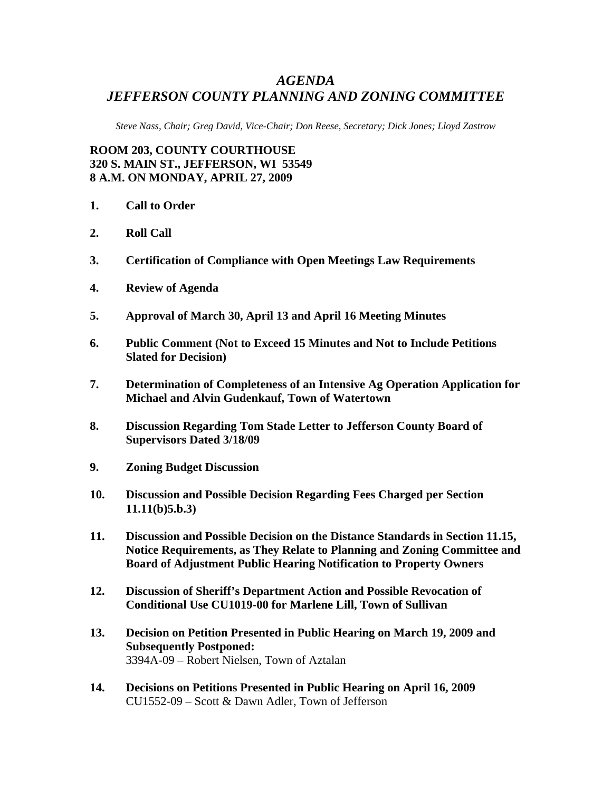## *AGENDA JEFFERSON COUNTY PLANNING AND ZONING COMMITTEE*

*Steve Nass, Chair; Greg David, Vice-Chair; Don Reese, Secretary; Dick Jones; Lloyd Zastrow* 

**ROOM 203, COUNTY COURTHOUSE 320 S. MAIN ST., JEFFERSON, WI 53549 8 A.M. ON MONDAY, APRIL 27, 2009** 

- **1. Call to Order**
- **2. Roll Call**
- **3. Certification of Compliance with Open Meetings Law Requirements**
- **4. Review of Agenda**
- **5. Approval of March 30, April 13 and April 16 Meeting Minutes**
- **6. Public Comment (Not to Exceed 15 Minutes and Not to Include Petitions Slated for Decision)**
- **7. Determination of Completeness of an Intensive Ag Operation Application for Michael and Alvin Gudenkauf, Town of Watertown**
- **8. Discussion Regarding Tom Stade Letter to Jefferson County Board of Supervisors Dated 3/18/09**
- **9. Zoning Budget Discussion**
- **10. Discussion and Possible Decision Regarding Fees Charged per Section 11.11(b)5.b.3)**
- **11. Discussion and Possible Decision on the Distance Standards in Section 11.15, Notice Requirements, as They Relate to Planning and Zoning Committee and Board of Adjustment Public Hearing Notification to Property Owners**
- **12. Discussion of Sheriff's Department Action and Possible Revocation of Conditional Use CU1019-00 for Marlene Lill, Town of Sullivan**
- **13. Decision on Petition Presented in Public Hearing on March 19, 2009 and Subsequently Postponed:**  3394A-09 – Robert Nielsen, Town of Aztalan
- **14. Decisions on Petitions Presented in Public Hearing on April 16, 2009**  CU1552-09 – Scott & Dawn Adler, Town of Jefferson